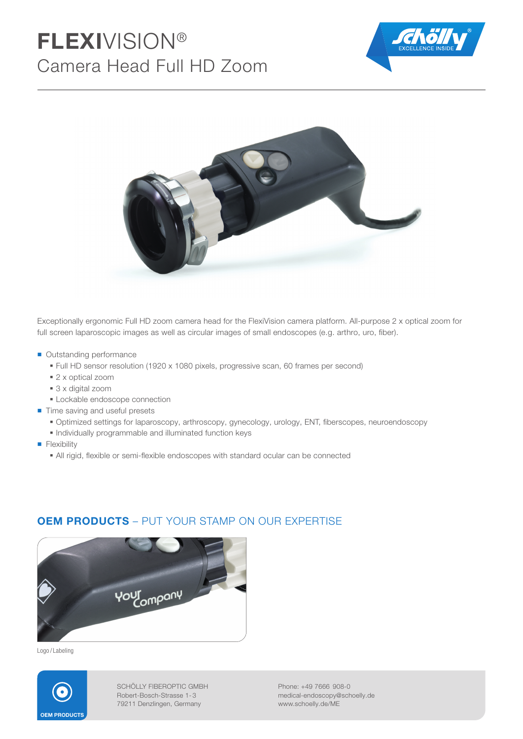# FLEXIVISION® Camera Head Full HD Zoom





Exceptionally ergonomic Full HD zoom camera head for the FlexiVision camera platform. All-purpose 2 x optical zoom for full screen laparoscopic images as well as circular images of small endoscopes (e.g. arthro, uro, fiber).

- Outstanding performance
	- Full HD sensor resolution (1920 x 1080 pixels, progressive scan, 60 frames per second)
	- 2 x optical zoom
	- 3 x digital zoom
	- **Lockable endoscope connection**
- Time saving and useful presets
	- · Optimized settings for laparoscopy, arthroscopy, gynecology, urology, ENT, fiberscopes, neuroendoscopy
	- Individually programmable and illuminated function keys
- **Flexibility** 
	- All rigid, flexible or semi-flexible endoscopes with standard ocular can be connected



OEM PRODUCTS – PUT YOUR STAMP ON OUR EXPERTISE

Logo / Labeling



SCHÖLLY FIBEROPTIC GMBH Robert-Bosch-Strasse 1- 3 79211 Denzlingen, Germany

Phone: +49 7666 908-0 medical-endoscopy@schoelly.de www.schoelly.de/ME